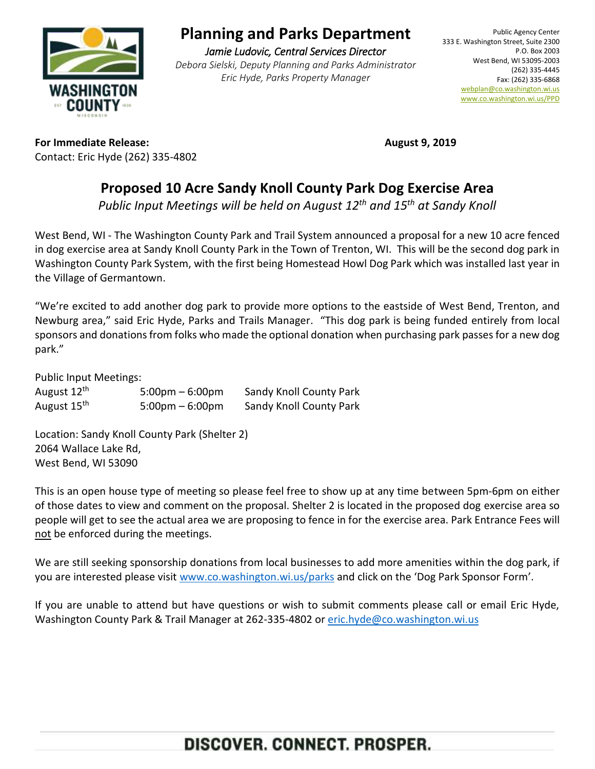

# **Planning and Parks Department**

*Jamie Ludovic, Central Services Director Debora Sielski, Deputy Planning and Parks Administrator Eric Hyde, Parks Property Manager*

**For Immediate Release: August 9, 2019** Contact: Eric Hyde (262) 335-4802

### **Proposed 10 Acre Sandy Knoll County Park Dog Exercise Area**

*Public Input Meetings will be held on August 12th and 15th at Sandy Knoll*

West Bend, WI - The Washington County Park and Trail System announced a proposal for a new 10 acre fenced in dog exercise area at Sandy Knoll County Park in the Town of Trenton, WI. This will be the second dog park in Washington County Park System, with the first being Homestead Howl Dog Park which was installed last year in the Village of Germantown.

"We're excited to add another dog park to provide more options to the eastside of West Bend, Trenton, and Newburg area," said Eric Hyde, Parks and Trails Manager. "This dog park is being funded entirely from local sponsors and donations from folks who made the optional donation when purchasing park passes for a new dog park."

Public Input Meetings:

| August 12 <sup>th</sup> | $5:00 \text{pm} - 6:00 \text{pm}$ | Sandy Knoll County Park |
|-------------------------|-----------------------------------|-------------------------|
| August 15 <sup>th</sup> | $5:00 \text{pm} - 6:00 \text{pm}$ | Sandy Knoll County Park |

Location: Sandy Knoll County Park (Shelter 2) 2064 Wallace Lake Rd, West Bend, WI 53090

This is an open house type of meeting so please feel free to show up at any time between 5pm-6pm on either of those dates to view and comment on the proposal. Shelter 2 is located in the proposed dog exercise area so people will get to see the actual area we are proposing to fence in for the exercise area. Park Entrance Fees will not be enforced during the meetings.

We are still seeking sponsorship donations from local businesses to add more amenities within the dog park, if you are interested please visit [www.co.washington.wi.us/parks](http://www.co.washington.wi.us/parks) and click on the 'Dog Park Sponsor Form'.

If you are unable to attend but have questions or wish to submit comments please call or email Eric Hyde, Washington County Park & Trail Manager at 262-335-4802 or [eric.hyde@co.washington.wi.us](mailto:eric.hyde@co.washington.wi.us)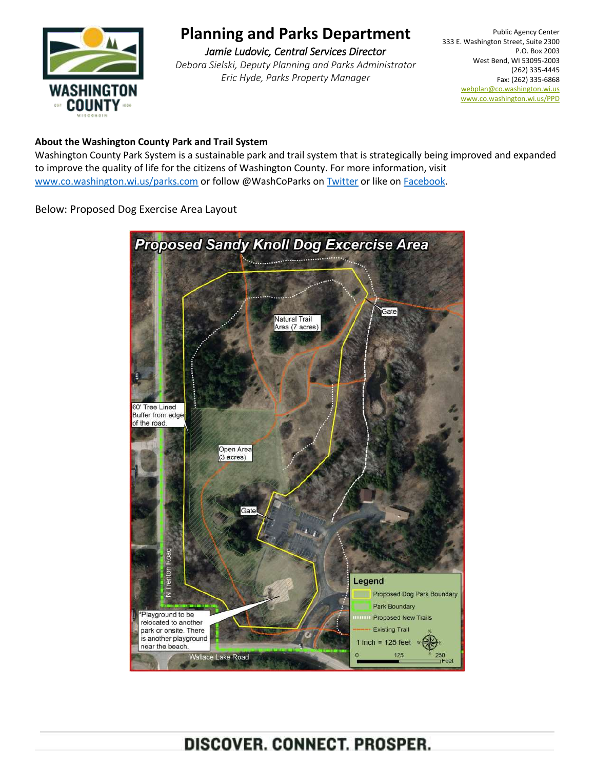

# **Planning and Parks Department**

*Jamie Ludovic, Central Services Director Debora Sielski, Deputy Planning and Parks Administrator Eric Hyde, Parks Property Manager*

Public Agency Center 333 E. Washington Street, Suite 2300 P.O. Box 2003 West Bend, WI 53095-2003 (262) 335-4445 Fax: (262) 335-6868 [webplan@co.washington.wi.us](mailto:webplan@co.washington.wi.us) [www.co.washington.wi.us/PPD](http://www.co.washington.wi.us/PPD)

#### **About the Washington County Park and Trail System**

Washington County Park System is a sustainable park and trail system that is strategically being improved and expanded to improve the quality of life for the citizens of Washington County. For more information, visit [www.co.washington.wi.us/parks.com](http://www.co.washington.wi.us/parks.com) or follow @WashCoParks on [Twitter](https://twitter.com/WashCoParks) or like o[n Facebook.](https://www.facebook.com/washcoparks/)

Below: Proposed Dog Exercise Area Layout



DISCOVER. CONNECT. PROSPER.